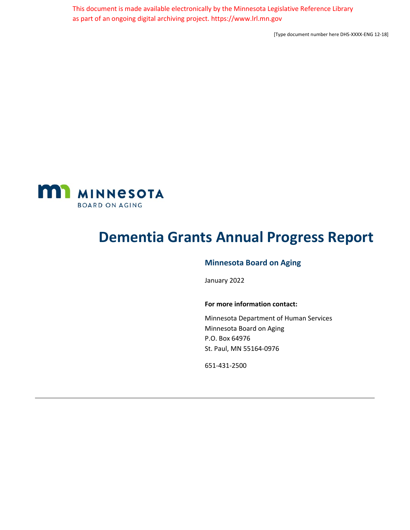This document is made available electronically by the Minnesota Legislative Reference Library as part of an ongoing digital archiving project. https://www.lrl.mn.gov

[Type document number here DHS-XXXX-ENG 12-18]

<span id="page-0-0"></span>

# <span id="page-0-1"></span>**Dementia Grants Annual Progress Report**

# **Minnesota Board on Aging**

January 2022

#### **For more information contact:**

Minnesota Department of Human Services Minnesota Board on Aging P.O. Box 64976 St. Paul, MN 55164-0976

651-431-2500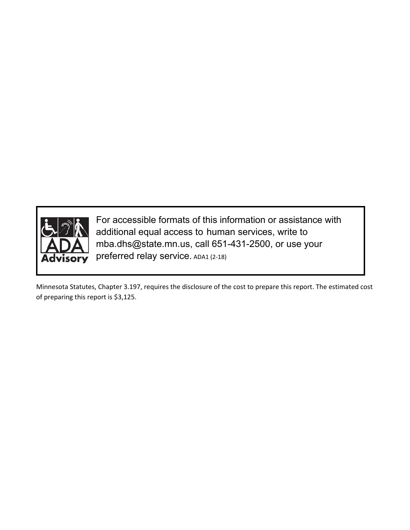

For accessible formats of this information or assistance with additional equal access to human services, write to mba.dhs@state.mn.us, call 651-431-2500, or use your preferred relay service. ADA1 (2-18)

Minnesota Statutes, Chapter 3.197, requires the disclosure of the cost to prepare this report. The estimated cost of preparing this report is \$3,125.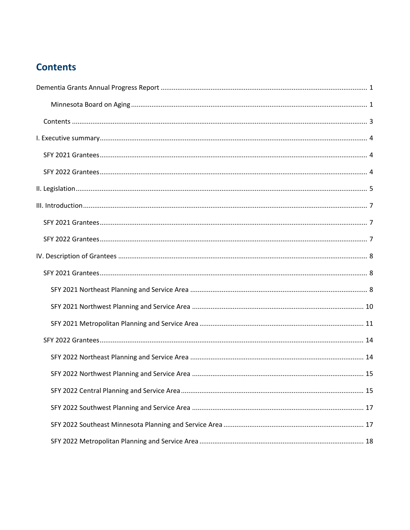# <span id="page-2-0"></span>**Contents**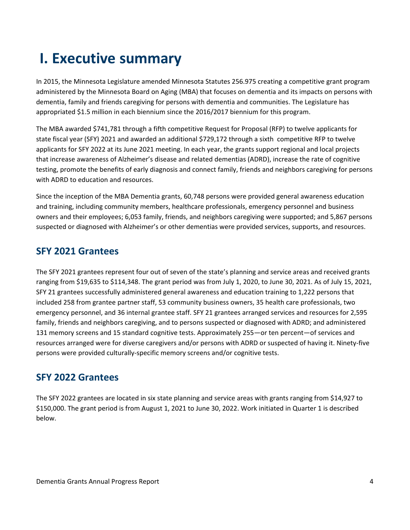# <span id="page-3-0"></span>**I. Executive summary**

In 2015, the Minnesota Legislature amended Minnesota Statutes 256.975 creating a competitive grant program administered by the Minnesota Board on Aging (MBA) that focuses on dementia and its impacts on persons with dementia, family and friends caregiving for persons with dementia and communities. The Legislature has appropriated \$1.5 million in each biennium since the 2016/2017 biennium for this program.

The MBA awarded \$741,781 through a fifth competitive Request for Proposal (RFP) to twelve applicants for state fiscal year (SFY) 2021 and awarded an additional \$729,172 through a sixth competitive RFP to twelve applicants for SFY 2022 at its June 2021 meeting. In each year, the grants support regional and local projects that increase awareness of Alzheimer's disease and related dementias (ADRD), increase the rate of cognitive testing, promote the benefits of early diagnosis and connect family, friends and neighbors caregiving for persons with ADRD to education and resources.

Since the inception of the MBA Dementia grants, 60,748 persons were provided general awareness education and training, including community members, healthcare professionals, emergency personnel and business owners and their employees; 6,053 family, friends, and neighbors caregiving were supported; and 5,867 persons suspected or diagnosed with Alzheimer's or other dementias were provided services, supports, and resources.

# <span id="page-3-1"></span>**SFY 2021 Grantees**

The SFY 2021 grantees represent four out of seven of the state's planning and service areas and received grants ranging from \$19,635 to \$114,348. The grant period was from July 1, 2020, to June 30, 2021. As of July 15, 2021, SFY 21 grantees successfully administered general awareness and education training to 1,222 persons that included 258 from grantee partner staff, 53 community business owners, 35 health care professionals, two emergency personnel, and 36 internal grantee staff. SFY 21 grantees arranged services and resources for 2,595 family, friends and neighbors caregiving, and to persons suspected or diagnosed with ADRD; and administered 131 memory screens and 15 standard cognitive tests. Approximately 255—or ten percent—of services and resources arranged were for diverse caregivers and/or persons with ADRD or suspected of having it. Ninety-five persons were provided culturally-specific memory screens and/or cognitive tests.

# <span id="page-3-2"></span>**SFY 2022 Grantees**

The SFY 2022 grantees are located in six state planning and service areas with grants ranging from \$14,927 to \$150,000. The grant period is from August 1, 2021 to June 30, 2022. Work initiated in Quarter 1 is described below.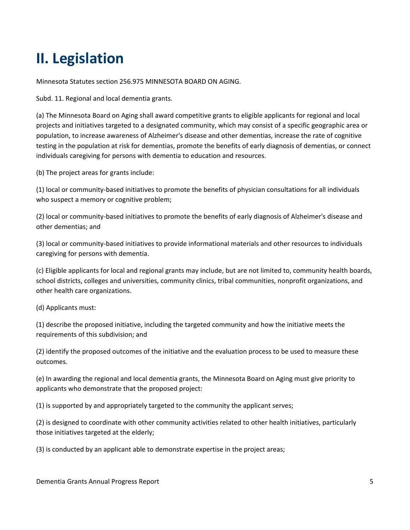# <span id="page-4-0"></span>**II. Legislation**

Minnesota Statutes section 256.975 MINNESOTA BOARD ON AGING.

Subd. 11. Regional and local dementia grants.

(a) The Minnesota Board on Aging shall award competitive grants to eligible applicants for regional and local projects and initiatives targeted to a designated community, which may consist of a specific geographic area or population, to increase awareness of Alzheimer's disease and other dementias, increase the rate of cognitive testing in the population at risk for dementias, promote the benefits of early diagnosis of dementias, or connect individuals caregiving for persons with dementia to education and resources.

(b) The project areas for grants include:

(1) local or community-based initiatives to promote the benefits of physician consultations for all individuals who suspect a memory or cognitive problem;

(2) local or community-based initiatives to promote the benefits of early diagnosis of Alzheimer's disease and other dementias; and

(3) local or community-based initiatives to provide informational materials and other resources to individuals caregiving for persons with dementia.

(c) Eligible applicants for local and regional grants may include, but are not limited to, community health boards, school districts, colleges and universities, community clinics, tribal communities, nonprofit organizations, and other health care organizations.

(d) Applicants must:

(1) describe the proposed initiative, including the targeted community and how the initiative meets the requirements of this subdivision; and

(2) identify the proposed outcomes of the initiative and the evaluation process to be used to measure these outcomes.

(e) In awarding the regional and local dementia grants, the Minnesota Board on Aging must give priority to applicants who demonstrate that the proposed project:

(1) is supported by and appropriately targeted to the community the applicant serves;

(2) is designed to coordinate with other community activities related to other health initiatives, particularly those initiatives targeted at the elderly;

(3) is conducted by an applicant able to demonstrate expertise in the project areas;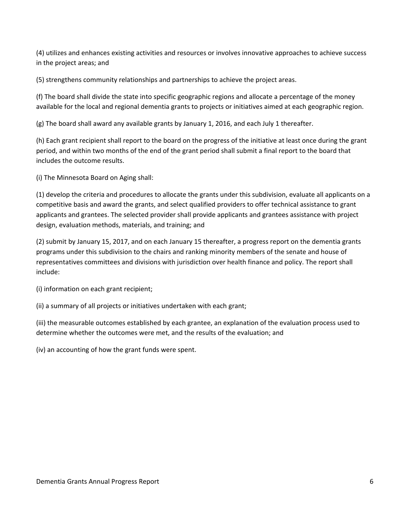(4) utilizes and enhances existing activities and resources or involves innovative approaches to achieve success in the project areas; and

(5) strengthens community relationships and partnerships to achieve the project areas.

(f) The board shall divide the state into specific geographic regions and allocate a percentage of the money available for the local and regional dementia grants to projects or initiatives aimed at each geographic region.

(g) The board shall award any available grants by January 1, 2016, and each July 1 thereafter.

(h) Each grant recipient shall report to the board on the progress of the initiative at least once during the grant period, and within two months of the end of the grant period shall submit a final report to the board that includes the outcome results.

(i) The Minnesota Board on Aging shall:

(1) develop the criteria and procedures to allocate the grants under this subdivision, evaluate all applicants on a competitive basis and award the grants, and select qualified providers to offer technical assistance to grant applicants and grantees. The selected provider shall provide applicants and grantees assistance with project design, evaluation methods, materials, and training; and

(2) submit by January 15, 2017, and on each January 15 thereafter, a progress report on the dementia grants programs under this subdivision to the chairs and ranking minority members of the senate and house of representatives committees and divisions with jurisdiction over health finance and policy. The report shall include:

(i) information on each grant recipient;

(ii) a summary of all projects or initiatives undertaken with each grant;

(iii) the measurable outcomes established by each grantee, an explanation of the evaluation process used to determine whether the outcomes were met, and the results of the evaluation; and

(iv) an accounting of how the grant funds were spent.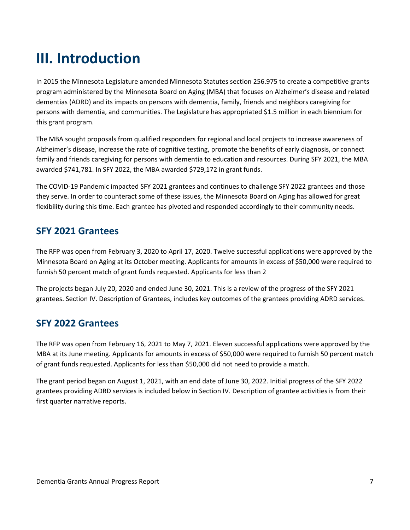# <span id="page-6-0"></span>**III. Introduction**

In 2015 the Minnesota Legislature amended Minnesota Statutes section 256.975 to create a competitive grants program administered by the Minnesota Board on Aging (MBA) that focuses on Alzheimer's disease and related dementias (ADRD) and its impacts on persons with dementia, family, friends and neighbors caregiving for persons with dementia, and communities. The Legislature has appropriated \$1.5 million in each biennium for this grant program.

The MBA sought proposals from qualified responders for regional and local projects to increase awareness of Alzheimer's disease, increase the rate of cognitive testing, promote the benefits of early diagnosis, or connect family and friends caregiving for persons with dementia to education and resources. During SFY 2021, the MBA awarded \$741,781. In SFY 2022, the MBA awarded \$729,172 in grant funds.

The COVID-19 Pandemic impacted SFY 2021 grantees and continues to challenge SFY 2022 grantees and those they serve. In order to counteract some of these issues, the Minnesota Board on Aging has allowed for great flexibility during this time. Each grantee has pivoted and responded accordingly to their community needs.

# <span id="page-6-1"></span>**SFY 2021 Grantees**

The RFP was open from February 3, 2020 to April 17, 2020. Twelve successful applications were approved by the Minnesota Board on Aging at its October meeting. Applicants for amounts in excess of \$50,000 were required to furnish 50 percent match of grant funds requested. Applicants for less than 2

The projects began July 20, 2020 and ended June 30, 2021. This is a review of the progress of the SFY 2021 grantees. Section IV. Description of Grantees, includes key outcomes of the grantees providing ADRD services.

# <span id="page-6-2"></span>**SFY 2022 Grantees**

The RFP was open from February 16, 2021 to May 7, 2021. Eleven successful applications were approved by the MBA at its June meeting. Applicants for amounts in excess of \$50,000 were required to furnish 50 percent match of grant funds requested. Applicants for less than \$50,000 did not need to provide a match.

The grant period began on August 1, 2021, with an end date of June 30, 2022. Initial progress of the SFY 2022 grantees providing ADRD services is included below in Section IV. Description of grantee activities is from their first quarter narrative reports.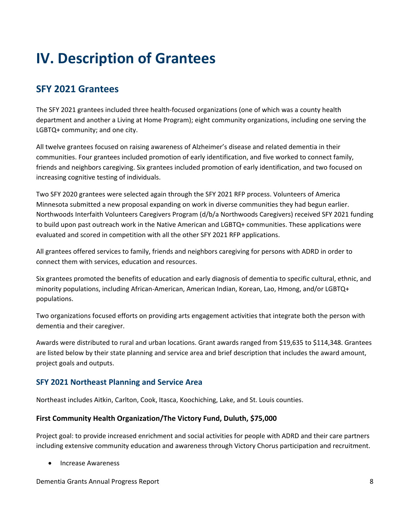# <span id="page-7-0"></span>**IV. Description of Grantees**

# <span id="page-7-1"></span>**SFY 2021 Grantees**

The SFY 2021 grantees included three health-focused organizations (one of which was a county health department and another a Living at Home Program); eight community organizations, including one serving the LGBTQ+ community; and one city.

All twelve grantees focused on raising awareness of Alzheimer's disease and related dementia in their communities. Four grantees included promotion of early identification, and five worked to connect family, friends and neighbors caregiving. Six grantees included promotion of early identification, and two focused on increasing cognitive testing of individuals.

Two SFY 2020 grantees were selected again through the SFY 2021 RFP process. Volunteers of America Minnesota submitted a new proposal expanding on work in diverse communities they had begun earlier. Northwoods Interfaith Volunteers Caregivers Program (d/b/a Northwoods Caregivers) received SFY 2021 funding to build upon past outreach work in the Native American and LGBTQ+ communities. These applications were evaluated and scored in competition with all the other SFY 2021 RFP applications.

All grantees offered services to family, friends and neighbors caregiving for persons with ADRD in order to connect them with services, education and resources.

Six grantees promoted the benefits of education and early diagnosis of dementia to specific cultural, ethnic, and minority populations, including African-American, American Indian, Korean, Lao, Hmong, and/or LGBTQ+ populations.

Two organizations focused efforts on providing arts engagement activities that integrate both the person with dementia and their caregiver.

Awards were distributed to rural and urban locations. Grant awards ranged from \$19,635 to \$114,348. Grantees are listed below by their state planning and service area and brief description that includes the award amount, project goals and outputs.

# <span id="page-7-2"></span>**SFY 2021 Northeast Planning and Service Area**

Northeast includes Aitkin, Carlton, Cook, Itasca, Koochiching, Lake, and St. Louis counties.

## **First Community Health Organization/The Victory Fund, Duluth, \$75,000**

Project goal: to provide increased enrichment and social activities for people with ADRD and their care partners including extensive community education and awareness through Victory Chorus participation and recruitment.

• Increase Awareness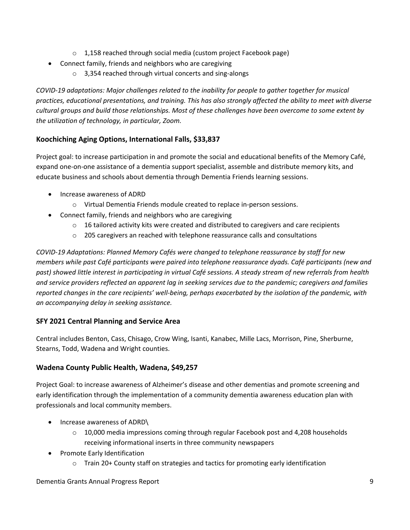- $\circ$  1,158 reached through social media (custom project Facebook page)
- Connect family, friends and neighbors who are caregiving
	- o 3,354 reached through virtual concerts and sing-alongs

*COVID-19 adaptations: Major challenges related to the inability for people to gather together for musical practices, educational presentations, and training. This has also strongly affected the ability to meet with diverse cultural groups and build those relationships. Most of these challenges have been overcome to some extent by the utilization of technology, in particular, Zoom.*

# **Koochiching Aging Options, International Falls, \$33,837**

Project goal: to increase participation in and promote the social and educational benefits of the Memory Café, expand one-on-one assistance of a dementia support specialist, assemble and distribute memory kits, and educate business and schools about dementia through Dementia Friends learning sessions.

- Increase awareness of ADRD
	- o Virtual Dementia Friends module created to replace in-person sessions.
- Connect family, friends and neighbors who are caregiving
	- $\circ$  16 tailored activity kits were created and distributed to caregivers and care recipients
	- o 205 caregivers an reached with telephone reassurance calls and consultations

*COVID-19 Adaptations: Planned Memory Cafés were changed to telephone reassurance by staff for new members while past Café participants were paired into telephone reassurance dyads. Café participants (new and past) showed little interest in participating in virtual Café sessions. A steady stream of new referrals from health and service providers reflected an apparent lag in seeking services due to the pandemic; caregivers and families reported changes in the care recipients' well-being, perhaps exacerbated by the isolation of the pandemic, with an accompanying delay in seeking assistance.*

## **SFY 2021 Central Planning and Service Area**

Central includes Benton, Cass, Chisago, Crow Wing, Isanti, Kanabec, Mille Lacs, Morrison, Pine, Sherburne, Stearns, Todd, Wadena and Wright counties.

# **Wadena County Public Health, Wadena, \$49,257**

Project Goal: to increase awareness of Alzheimer's disease and other dementias and promote screening and early identification through the implementation of a community dementia awareness education plan with professionals and local community members.

- Increase awareness of ADRD\
	- $\circ$  10,000 media impressions coming through regular Facebook post and 4,208 households receiving informational inserts in three community newspapers
- Promote Early Identification
	- o Train 20+ County staff on strategies and tactics for promoting early identification

## Dementia Grants Annual Progress Report 9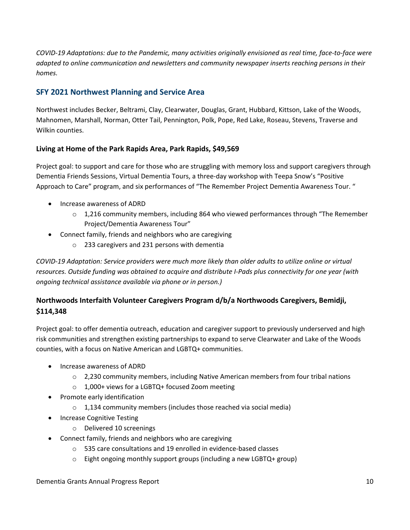*COVID-19 Adaptations: due to the Pandemic, many activities originally envisioned as real time, face-to-face were adapted to online communication and newsletters and community newspaper inserts reaching persons in their homes.*

# <span id="page-9-0"></span>**SFY 2021 Northwest Planning and Service Area**

Northwest includes Becker, Beltrami, Clay, Clearwater, Douglas, Grant, Hubbard, Kittson, Lake of the Woods, Mahnomen, Marshall, Norman, Otter Tail, Pennington, Polk, Pope, Red Lake, Roseau, Stevens, Traverse and Wilkin counties.

# **Living at Home of the Park Rapids Area, Park Rapids, \$49,569**

Project goal: to support and care for those who are struggling with memory loss and support caregivers through Dementia Friends Sessions, Virtual Dementia Tours, a three-day workshop with Teepa Snow's "Positive Approach to Care" program, and six performances of "The Remember Project Dementia Awareness Tour. "

- Increase awareness of ADRD
	- o 1,216 community members, including 864 who viewed performances through "The Remember Project/Dementia Awareness Tour"
- Connect family, friends and neighbors who are caregiving
	- o 233 caregivers and 231 persons with dementia

*COVID-19 Adaptation: Service providers were much more likely than older adults to utilize online or virtual resources. Outside funding was obtained to acquire and distribute I-Pads plus connectivity for one year (with ongoing technical assistance available via phone or in person.)*

# **Northwoods Interfaith Volunteer Caregivers Program d/b/a Northwoods Caregivers, Bemidji, \$114,348**

Project goal: to offer dementia outreach, education and caregiver support to previously underserved and high risk communities and strengthen existing partnerships to expand to serve Clearwater and Lake of the Woods counties, with a focus on Native American and LGBTQ+ communities.

- Increase awareness of ADRD
	- $\circ$  2,230 community members, including Native American members from four tribal nations
	- o 1,000+ views for a LGBTQ+ focused Zoom meeting
- Promote early identification
	- $\circ$  1,134 community members (includes those reached via social media)
- Increase Cognitive Testing
	- o Delivered 10 screenings
- Connect family, friends and neighbors who are caregiving
	- o 535 care consultations and 19 enrolled in evidence-based classes
	- o Eight ongoing monthly support groups (including a new LGBTQ+ group)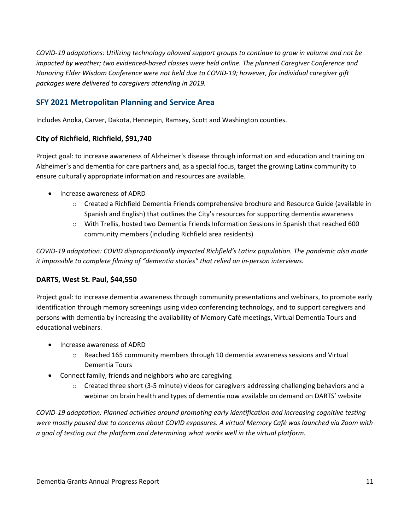*COVID-19 adaptations: Utilizing technology allowed support groups to continue to grow in volume and not be impacted by weather; two evidenced-based classes were held online. The planned Caregiver Conference and Honoring Elder Wisdom Conference were not held due to COVID-19; however, for individual caregiver gift packages were delivered to caregivers attending in 2019.*

# <span id="page-10-0"></span>**SFY 2021 Metropolitan Planning and Service Area**

Includes Anoka, Carver, Dakota, Hennepin, Ramsey, Scott and Washington counties.

## **City of Richfield, Richfield, \$91,740**

Project goal: to increase awareness of Alzheimer's disease through information and education and training on Alzheimer's and dementia for care partners and, as a special focus, target the growing Latinx community to ensure culturally appropriate information and resources are available.

- Increase awareness of ADRD
	- o Created a Richfield Dementia Friends comprehensive brochure and Resource Guide (available in Spanish and English) that outlines the City's resources for supporting dementia awareness
	- o With Trellis, hosted two Dementia Friends Information Sessions in Spanish that reached 600 community members (including Richfield area residents)

*COVID-19 adaptation: COVID disproportionally impacted Richfield's Latinx population. The pandemic also made it impossible to complete filming of "dementia stories" that relied on in-person interviews.* 

## **DARTS, West St. Paul, \$44,550**

Project goal: to increase dementia awareness through community presentations and webinars, to promote early identification through memory screenings using video conferencing technology, and to support caregivers and persons with dementia by increasing the availability of Memory Café meetings, Virtual Dementia Tours and educational webinars.

- Increase awareness of ADRD
	- $\circ$  Reached 165 community members through 10 dementia awareness sessions and Virtual Dementia Tours
- Connect family, friends and neighbors who are caregiving
	- $\circ$  Created three short (3-5 minute) videos for caregivers addressing challenging behaviors and a webinar on brain health and types of dementia now available on demand on DARTS' website

*COVID-19 adaptation: Planned activities around promoting early identification and increasing cognitive testing were mostly paused due to concerns about COVID exposures. A virtual Memory Café was launched via Zoom with a goal of testing out the platform and determining what works well in the virtual platform.*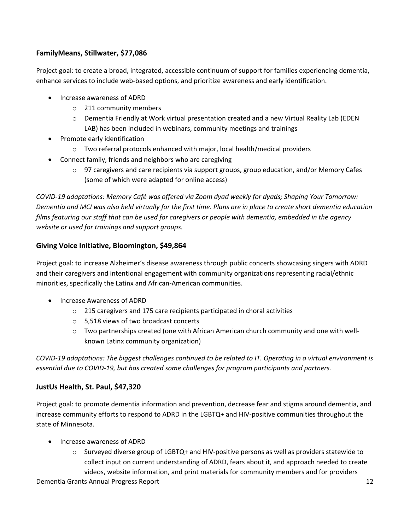# **FamilyMeans, Stillwater, \$77,086**

Project goal: to create a broad, integrated, accessible continuum of support for families experiencing dementia, enhance services to include web-based options, and prioritize awareness and early identification.

- Increase awareness of ADRD
	- o 211 community members
	- o Dementia Friendly at Work virtual presentation created and a new Virtual Reality Lab (EDEN LAB) has been included in webinars, community meetings and trainings
- Promote early identification
	- o Two referral protocols enhanced with major, local health/medical providers
- Connect family, friends and neighbors who are caregiving
	- $\circ$  97 caregivers and care recipients via support groups, group education, and/or Memory Cafes (some of which were adapted for online access)

*COVID-19 adaptations: Memory Café was offered via Zoom dyad weekly for dyads; Shaping Your Tomorrow: Dementia and MCI was also held virtually for the first time. Plans are in place to create short dementia education films featuring our staff that can be used for caregivers or people with dementia, embedded in the agency website or used for trainings and support groups.*

## **Giving Voice Initiative, Bloomington, \$49,864**

Project goal: to increase Alzheimer's disease awareness through public concerts showcasing singers with ADRD and their caregivers and intentional engagement with community organizations representing racial/ethnic minorities, specifically the Latinx and African-American communities.

- Increase Awareness of ADRD
	- o 215 caregivers and 175 care recipients participated in choral activities
	- o 5,518 views of two broadcast concerts
	- o Two partnerships created (one with African American church community and one with wellknown Latinx community organization)

*COVID-19 adaptations: The biggest challenges continued to be related to IT. Operating in a virtual environment is essential due to COVID-19, but has created some challenges for program participants and partners.* 

# **JustUs Health, St. Paul, \$47,320**

Project goal: to promote dementia information and prevention, decrease fear and stigma around dementia, and increase community efforts to respond to ADRD in the LGBTQ+ and HIV-positive communities throughout the state of Minnesota.

- Increase awareness of ADRD
	- o Surveyed diverse group of LGBTQ+ and HIV-positive persons as well as providers statewide to collect input on current understanding of ADRD, fears about it, and approach needed to create videos, website information, and print materials for community members and for providers

Dementia Grants Annual Progress Report 12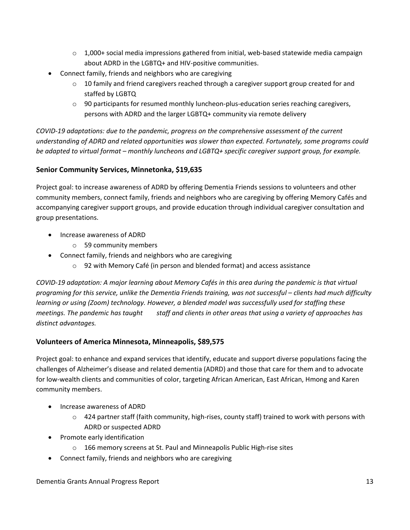- $\circ$  1,000+ social media impressions gathered from initial, web-based statewide media campaign about ADRD in the LGBTQ+ and HIV-positive communities.
- Connect family, friends and neighbors who are caregiving
	- $\circ$  10 family and friend caregivers reached through a caregiver support group created for and staffed by LGBTQ
	- $\circ$  90 participants for resumed monthly luncheon-plus-education series reaching caregivers, persons with ADRD and the larger LGBTQ+ community via remote delivery

*COVID-19 adaptations: due to the pandemic, progress on the comprehensive assessment of the current understanding of ADRD and related opportunities was slower than expected. Fortunately, some programs could be adapted to virtual format – monthly luncheons and LGBTQ+ specific caregiver support group, for example.* 

# **Senior Community Services, Minnetonka, \$19,635**

Project goal: to increase awareness of ADRD by offering Dementia Friends sessions to volunteers and other community members, connect family, friends and neighbors who are caregiving by offering Memory Cafés and accompanying caregiver support groups, and provide education through individual caregiver consultation and group presentations.

- Increase awareness of ADRD
	- o 59 community members
- Connect family, friends and neighbors who are caregiving
	- $\circ$  92 with Memory Café (in person and blended format) and access assistance

*COVID-19 adaptation: A major learning about Memory Cafés in this area during the pandemic is that virtual programing for this service, unlike the Dementia Friends training, was not successful – clients had much difficulty learning or using (Zoom) technology. However, a blended model was successfully used for staffing these meetings. The pandemic has taught* staff and clients in other areas that using a variety of approaches has *distinct advantages.*

# **Volunteers of America Minnesota, Minneapolis, \$89,575**

Project goal: to enhance and expand services that identify, educate and support diverse populations facing the challenges of Alzheimer's disease and related dementia (ADRD) and those that care for them and to advocate for low-wealth clients and communities of color, targeting African American, East African, Hmong and Karen community members.

- Increase awareness of ADRD
	- o 424 partner staff (faith community, high-rises, county staff) trained to work with persons with ADRD or suspected ADRD
- Promote early identification
	- 166 memory screens at St. Paul and Minneapolis Public High-rise sites
- Connect family, friends and neighbors who are caregiving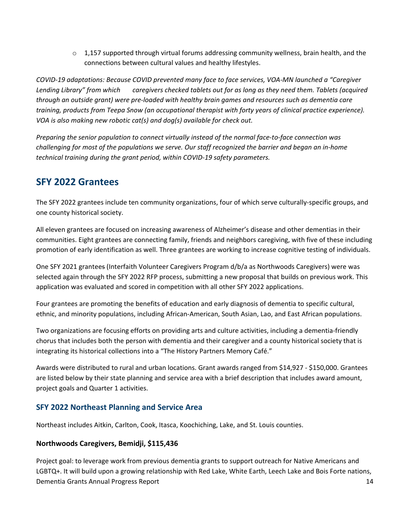$\circ$  1,157 supported through virtual forums addressing community wellness, brain health, and the connections between cultural values and healthy lifestyles.

*COVID-19 adaptations: Because COVID prevented many face to face services, VOA-MN launched a "Caregiver Lending Library" from which caregivers checked tablets out for as long as they need them. Tablets (acquired through an outside grant) were pre-loaded with healthy brain games and resources such as dementia care training, products from Teepa Snow (an occupational therapist with forty years of clinical practice experience). VOA is also making new robotic cat(s) and dog(s) available for check out.* 

*Preparing the senior population to connect virtually instead of the normal face-to-face connection was challenging for most of the populations we serve. Our staff recognized the barrier and began an in-home technical training during the grant period, within COVID-19 safety parameters.*

# <span id="page-13-0"></span>**SFY 2022 Grantees**

The SFY 2022 grantees include ten community organizations, four of which serve culturally-specific groups, and one county historical society.

All eleven grantees are focused on increasing awareness of Alzheimer's disease and other dementias in their communities. Eight grantees are connecting family, friends and neighbors caregiving, with five of these including promotion of early identification as well. Three grantees are working to increase cognitive testing of individuals.

One SFY 2021 grantees (Interfaith Volunteer Caregivers Program d/b/a as Northwoods Caregivers) were was selected again through the SFY 2022 RFP process, submitting a new proposal that builds on previous work. This application was evaluated and scored in competition with all other SFY 2022 applications.

Four grantees are promoting the benefits of education and early diagnosis of dementia to specific cultural, ethnic, and minority populations, including African-American, South Asian, Lao, and East African populations.

Two organizations are focusing efforts on providing arts and culture activities, including a dementia-friendly chorus that includes both the person with dementia and their caregiver and a county historical society that is integrating its historical collections into a "The History Partners Memory Café."

Awards were distributed to rural and urban locations. Grant awards ranged from \$14,927 - \$150,000. Grantees are listed below by their state planning and service area with a brief description that includes award amount, project goals and Quarter 1 activities.

# <span id="page-13-1"></span>**SFY 2022 Northeast Planning and Service Area**

Northeast includes Aitkin, Carlton, Cook, Itasca, Koochiching, Lake, and St. Louis counties.

## **Northwoods Caregivers, Bemidji, \$115,436**

Dementia Grants Annual Progress Report 14 Project goal: to leverage work from previous dementia grants to support outreach for Native Americans and LGBTQ+. It will build upon a growing relationship with Red Lake, White Earth, Leech Lake and Bois Forte nations,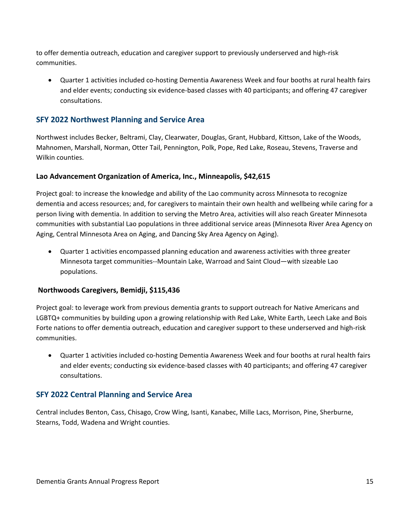to offer dementia outreach, education and caregiver support to previously underserved and high-risk communities.

• Quarter 1 activities included co-hosting Dementia Awareness Week and four booths at rural health fairs and elder events; conducting six evidence-based classes with 40 participants; and offering 47 caregiver consultations.

# <span id="page-14-0"></span>**SFY 2022 Northwest Planning and Service Area**

Northwest includes Becker, Beltrami, Clay, Clearwater, Douglas, Grant, Hubbard, Kittson, Lake of the Woods, Mahnomen, Marshall, Norman, Otter Tail, Pennington, Polk, Pope, Red Lake, Roseau, Stevens, Traverse and Wilkin counties.

## **Lao Advancement Organization of America, Inc., Minneapolis, \$42,615**

Project goal: to increase the knowledge and ability of the Lao community across Minnesota to recognize dementia and access resources; and, for caregivers to maintain their own health and wellbeing while caring for a person living with dementia. In addition to serving the Metro Area, activities will also reach Greater Minnesota communities with substantial Lao populations in three additional service areas (Minnesota River Area Agency on Aging, Central Minnesota Area on Aging, and Dancing Sky Area Agency on Aging).

• Quarter 1 activities encompassed planning education and awareness activities with three greater Minnesota target communities--Mountain Lake, Warroad and Saint Cloud—with sizeable Lao populations.

## **Northwoods Caregivers, Bemidji, \$115,436**

Project goal: to leverage work from previous dementia grants to support outreach for Native Americans and LGBTQ+ communities by building upon a growing relationship with Red Lake, White Earth, Leech Lake and Bois Forte nations to offer dementia outreach, education and caregiver support to these underserved and high-risk communities.

• Quarter 1 activities included co-hosting Dementia Awareness Week and four booths at rural health fairs and elder events; conducting six evidence-based classes with 40 participants; and offering 47 caregiver consultations.

# <span id="page-14-1"></span>**SFY 2022 Central Planning and Service Area**

Central includes Benton, Cass, Chisago, Crow Wing, Isanti, Kanabec, Mille Lacs, Morrison, Pine, Sherburne, Stearns, Todd, Wadena and Wright counties.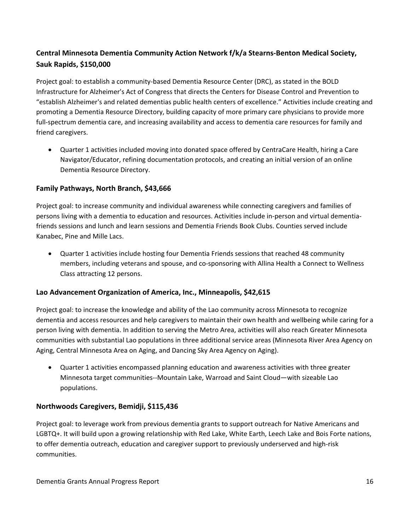# **Central Minnesota Dementia Community Action Network f/k/a Stearns-Benton Medical Society, Sauk Rapids, \$150,000**

Project goal: to establish a community-based Dementia Resource Center (DRC), as stated in the BOLD Infrastructure for Alzheimer's Act of Congress that directs the Centers for Disease Control and Prevention to "establish Alzheimer's and related dementias public health centers of excellence." Activities include creating and promoting a Dementia Resource Directory, building capacity of more primary care physicians to provide more full-spectrum dementia care, and increasing availability and access to dementia care resources for family and friend caregivers.

• Quarter 1 activities included moving into donated space offered by CentraCare Health, hiring a Care Navigator/Educator, refining documentation protocols, and creating an initial version of an online Dementia Resource Directory.

## **Family Pathways, North Branch, \$43,666**

Project goal: to increase community and individual awareness while connecting caregivers and families of persons living with a dementia to education and resources. Activities include in-person and virtual dementiafriends sessions and lunch and learn sessions and Dementia Friends Book Clubs. Counties served include Kanabec, Pine and Mille Lacs.

• Quarter 1 activities include hosting four Dementia Friends sessions that reached 48 community members, including veterans and spouse, and co-sponsoring with Allina Health a Connect to Wellness Class attracting 12 persons.

# **Lao Advancement Organization of America, Inc., Minneapolis, \$42,615**

Project goal: to increase the knowledge and ability of the Lao community across Minnesota to recognize dementia and access resources and help caregivers to maintain their own health and wellbeing while caring for a person living with dementia. In addition to serving the Metro Area, activities will also reach Greater Minnesota communities with substantial Lao populations in three additional service areas (Minnesota River Area Agency on Aging, Central Minnesota Area on Aging, and Dancing Sky Area Agency on Aging).

• Quarter 1 activities encompassed planning education and awareness activities with three greater Minnesota target communities--Mountain Lake, Warroad and Saint Cloud—with sizeable Lao populations.

## **Northwoods Caregivers, Bemidji, \$115,436**

Project goal: to leverage work from previous dementia grants to support outreach for Native Americans and LGBTQ+. It will build upon a growing relationship with Red Lake, White Earth, Leech Lake and Bois Forte nations, to offer dementia outreach, education and caregiver support to previously underserved and high-risk communities.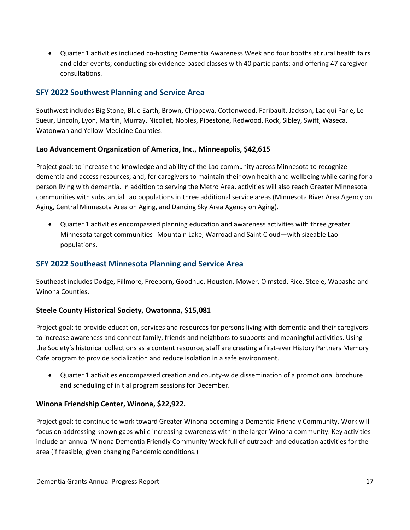• Quarter 1 activities included co-hosting Dementia Awareness Week and four booths at rural health fairs and elder events; conducting six evidence-based classes with 40 participants; and offering 47 caregiver consultations.

# <span id="page-16-0"></span>**SFY 2022 Southwest Planning and Service Area**

Southwest includes Big Stone, Blue Earth, Brown, Chippewa, Cottonwood, Faribault, Jackson, Lac qui Parle, Le Sueur, Lincoln, Lyon, Martin, Murray, Nicollet, Nobles, Pipestone, Redwood, Rock, Sibley, Swift, Waseca, Watonwan and Yellow Medicine Counties.

## **Lao Advancement Organization of America, Inc., Minneapolis, \$42,615**

Project goal: to increase the knowledge and ability of the Lao community across Minnesota to recognize dementia and access resources; and, for caregivers to maintain their own health and wellbeing while caring for a person living with dementia**.** In addition to serving the Metro Area, activities will also reach Greater Minnesota communities with substantial Lao populations in three additional service areas (Minnesota River Area Agency on Aging, Central Minnesota Area on Aging, and Dancing Sky Area Agency on Aging).

• Quarter 1 activities encompassed planning education and awareness activities with three greater Minnesota target communities--Mountain Lake, Warroad and Saint Cloud—with sizeable Lao populations.

## <span id="page-16-1"></span>**SFY 2022 Southeast Minnesota Planning and Service Area**

Southeast includes Dodge, Fillmore, Freeborn, Goodhue, Houston, Mower, Olmsted, Rice, Steele, Wabasha and Winona Counties.

## **Steele County Historical Society, Owatonna, \$15,081**

Project goal: to provide education, services and resources for persons living with dementia and their caregivers to increase awareness and connect family, friends and neighbors to supports and meaningful activities. Using the Society's historical collections as a content resource, staff are creating a first-ever History Partners Memory Cafe program to provide socialization and reduce isolation in a safe environment.

• Quarter 1 activities encompassed creation and county-wide dissemination of a promotional brochure and scheduling of initial program sessions for December.

## **Winona Friendship Center, Winona, \$22,922.**

Project goal: to continue to work toward Greater Winona becoming a Dementia-Friendly Community. Work will focus on addressing known gaps while increasing awareness within the larger Winona community. Key activities include an annual Winona Dementia Friendly Community Week full of outreach and education activities for the area (if feasible, given changing Pandemic conditions.)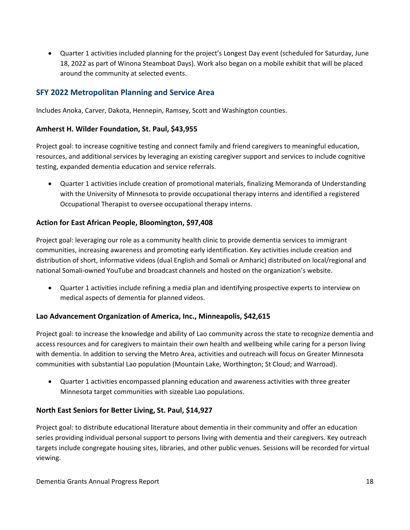• Quarter 1 activities included planning for the project's Longest Day event (scheduled for Saturday, June 18, 2022 as part of Winona Steamboat Days). Work also began on a mobile exhibit that will be placed around the community at selected events.

# <span id="page-17-0"></span>**SFY 2022 Metropolitan Planning and Service Area**

Includes Anoka, Carver, Dakota, Hennepin, Ramsey, Scott and Washington counties.

## **Amherst H. Wilder Foundation, St. Paul, \$43,955**

Project goal: to increase cognitive testing and connect family and friend caregivers to meaningful education, resources, and additional services by leveraging an existing caregiver support and services to include cognitive testing, expanded dementia education and service referrals.

• Quarter 1 activities include creation of promotional materials, finalizing Memoranda of Understanding with the University of Minnesota to provide occupational therapy interns and identified a registered Occupational Therapist to oversee occupational therapy interns.

## **Action for East African People, Bloomington, \$97,408**

Project goal: leveraging our role as a community health clinic to provide dementia services to immigrant communities, increasing awareness and promoting early identification. Key activities include creation and distribution of short, informative videos (dual English and Somali or Amharic) distributed on local/regional and national Somali-owned YouTube and broadcast channels and hosted on the organization's website.

• Quarter 1 activities include refining a media plan and identifying prospective experts to interview on medical aspects of dementia for planned videos.

## **Lao Advancement Organization of America, Inc., Minneapolis, \$42,615**

Project goal: to increase the knowledge and ability of Lao community across the state to recognize dementia and access resources and for caregivers to maintain their own health and wellbeing while caring for a person living with dementia. In addition to serving the Metro Area, activities and outreach will focus on Greater Minnesota communities with substantial Lao population (Mountain Lake, Worthington; St Cloud; and Warroad).

• Quarter 1 activities encompassed planning education and awareness activities with three greater Minnesota target communities with sizeable Lao populations.

## **North East Seniors for Better Living, St. Paul, \$14,927**

Project goal: to distribute educational literature about dementia in their community and offer an education series providing individual personal support to persons living with dementia and their caregivers. Key outreach targets include congregate housing sites, libraries, and other public venues. Sessions will be recorded for virtual viewing.